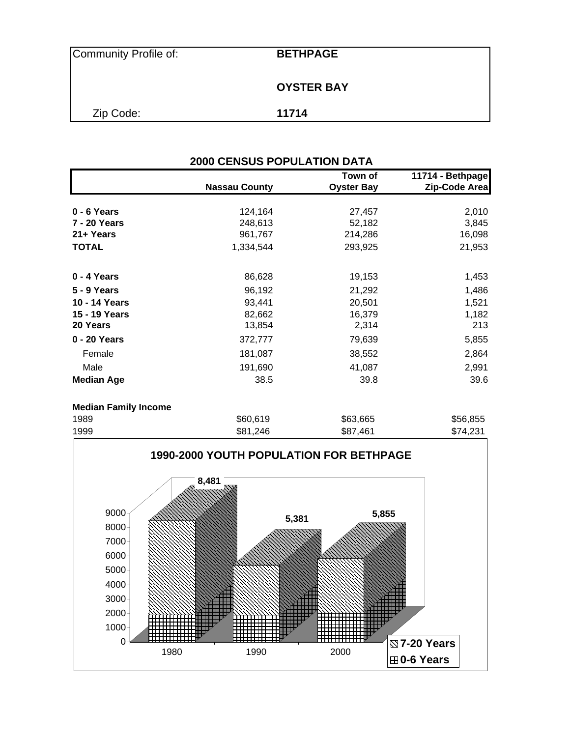| Community Profile of: | <b>BETHPAGE</b>   |  |
|-----------------------|-------------------|--|
|                       | <b>OYSTER BAY</b> |  |
| Zip Code:             | 11714             |  |

|                   |                      | Town of           | 11714 - Bethpage |
|-------------------|----------------------|-------------------|------------------|
|                   | <b>Nassau County</b> | <b>Oyster Bay</b> | Zip-Code Area    |
| $0 - 6$ Years     | 124,164              | 27,457            | 2,010            |
| 7 - 20 Years      | 248,613              | 52,182            | 3,845            |
| 21+ Years         | 961,767              | 214,286           | 16,098           |
| <b>TOTAL</b>      | 1,334,544            | 293,925           | 21,953           |
| 0 - 4 Years       | 86,628               | 19,153            | 1,453            |
| 5 - 9 Years       | 96,192               | 21,292            | 1,486            |
| 10 - 14 Years     | 93,441               | 20,501            | 1,521            |
| 15 - 19 Years     | 82,662               | 16,379            | 1,182            |
| 20 Years          | 13,854               | 2,314             | 213              |
| 0 - 20 Years      | 372,777              | 79,639            | 5,855            |
| Female            | 181,087              | 38,552            | 2,864            |
| Male              | 191,690              | 41,087            | 2,991            |
| <b>Median Age</b> | 38.5                 | 39.8              | 39.6             |

| <b>INGUIDELLE QUILLY THUNGUIT</b> |          |          |          |
|-----------------------------------|----------|----------|----------|
| 1989                              | \$60,619 | \$63,665 | \$56,855 |
| 1999                              | \$81,246 | \$87.461 | \$74,231 |
|                                   |          |          |          |

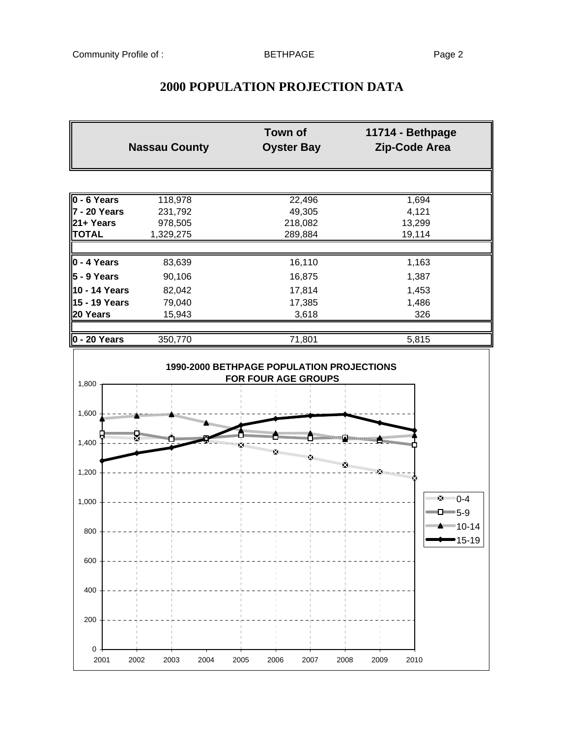| <b>2000 POPULATION PROJECTION DATA</b> |
|----------------------------------------|
|----------------------------------------|

|                           | Town of<br><b>Nassau County</b><br><b>Oyster Bay</b> |                      | 11714 - Bethpage<br>Zip-Code Area |  |  |
|---------------------------|------------------------------------------------------|----------------------|-----------------------------------|--|--|
|                           |                                                      |                      |                                   |  |  |
| $0 - 6$ Years             | 118,978                                              | 22,496               | 1,694                             |  |  |
| $7 - 20$ Years            | 231,792                                              | 49,305               | 4,121                             |  |  |
| 21+ Years                 | 978,505                                              | 218,082              | 13,299                            |  |  |
| <b>TOTAL</b>              | 1,329,275                                            | 289,884              | 19,114                            |  |  |
| $\vert$ 0 - 4 Years       | 83,639                                               | 16,110               | 1,163                             |  |  |
| $5 - 9$ Years             | 90,106                                               | 16,875               | 1,387                             |  |  |
| 10 - 14 Years             | 82,042                                               | 17,814               | 1,453                             |  |  |
| 15 - 19 Years             | 79,040                                               | 17,385               | 1,486                             |  |  |
| 20 Years                  | 15,943                                               | 3,618                | 326                               |  |  |
| $0 - 20$ Years            | 350,770                                              | 71,801               | 5,815                             |  |  |
| 1,800<br>1,600            |                                                      | FOR FOUR AGE GROUPS  |                                   |  |  |
| ,,,,,,,,,,,,,,,,,,,,,,    |                                                      |                      |                                   |  |  |
| 1,400                     |                                                      |                      |                                   |  |  |
| 1,200                     |                                                      |                      | 图<br>×                            |  |  |
| 1,000                     |                                                      |                      | *2*******0-4<br>$\Box$ 5-9        |  |  |
| 800                       |                                                      |                      | <b>EXECUTE:</b> 10-14<br>■15-19   |  |  |
| 600                       |                                                      |                      |                                   |  |  |
| 400                       |                                                      |                      |                                   |  |  |
| 200                       |                                                      |                      |                                   |  |  |
| $\pmb{0}$<br>2001<br>2002 | 2004<br>2003                                         | 2005<br>2006<br>2007 | 2008<br>2009<br>2010              |  |  |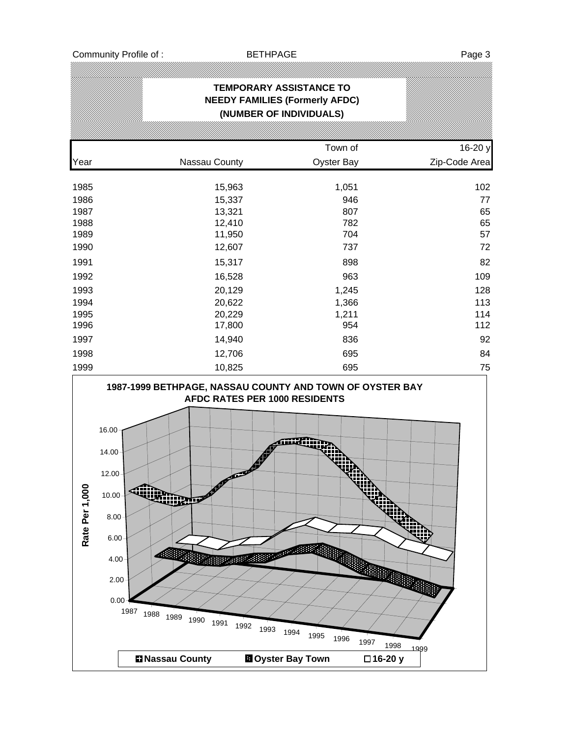| <b>TEMPORARY ASSISTANCE TO</b><br><b>NEEDY FAMILIES (Formerly AFDC)</b><br>(NUMBER OF INDIVIDUALS) |               |                   |               |  |  |  |
|----------------------------------------------------------------------------------------------------|---------------|-------------------|---------------|--|--|--|
|                                                                                                    |               | Town of           | 16-20 y       |  |  |  |
| Year                                                                                               | Nassau County | <b>Oyster Bay</b> | Zip-Code Area |  |  |  |
| 1985                                                                                               | 15,963        | 1,051             | 102           |  |  |  |
| 1986                                                                                               | 15,337        | 946               | 77            |  |  |  |
| 1987                                                                                               | 13,321        | 807               | 65            |  |  |  |
| 1988                                                                                               | 12,410        | 782               | 65            |  |  |  |
| 1989                                                                                               | 11,950        | 704               | 57            |  |  |  |
| 1990                                                                                               | 12,607        | 737               | 72            |  |  |  |
| 1991                                                                                               | 15,317        | 898               | 82            |  |  |  |
| 1992                                                                                               | 16,528        | 963               | 109           |  |  |  |
| 1993                                                                                               | 20,129        | 1,245             | 128           |  |  |  |
| 1994                                                                                               | 20,622        | 1,366             | 113           |  |  |  |
| 1995                                                                                               | 20,229        | 1,211             | 114           |  |  |  |
| 1996                                                                                               | 17,800        | 954               | 112           |  |  |  |
| 1997                                                                                               | 14,940        | 836               | 92            |  |  |  |
| 1998                                                                                               | 12,706        | 695               | 84            |  |  |  |
| 1999                                                                                               | 10,825        | 695               | 75            |  |  |  |

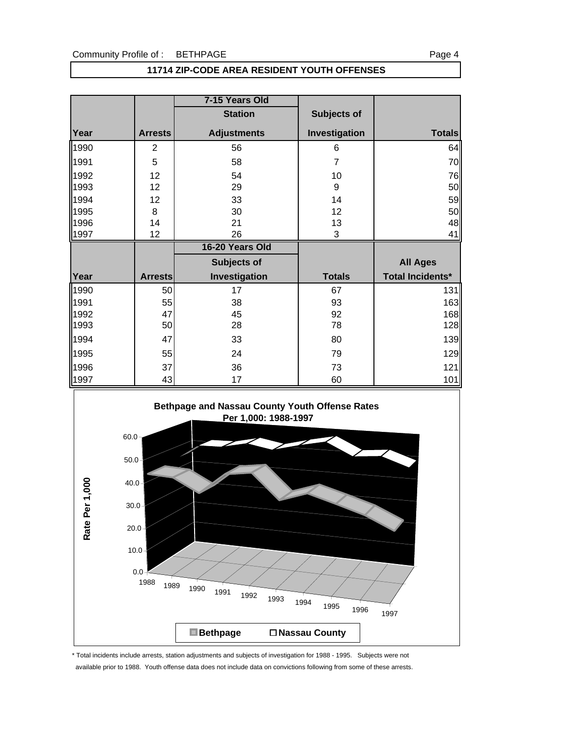#### Community Profile of : BETHPAGE

| ٠<br>, |  |
|--------|--|
|--------|--|

#### **11714 ZIP-CODE AREA RESIDENT YOUTH OFFENSES**

|      |                | 7-15 Years Old     |                |                         |
|------|----------------|--------------------|----------------|-------------------------|
|      |                | <b>Station</b>     | Subjects of    |                         |
| Year | <b>Arrests</b> | <b>Adjustments</b> | Investigation  | <b>Totals</b>           |
| 1990 | $\overline{2}$ | 56                 | 6              | 64                      |
| 1991 | 5              | 58                 | $\overline{7}$ | 70                      |
| 1992 | 12             | 54                 | 10             | 76                      |
| 1993 | 12             | 29                 | 9              | 50                      |
| 1994 | 12             | 33                 | 14             | 59                      |
| 1995 | 8              | 30                 | 12             | 50                      |
| 1996 | 14             | 21                 | 13             | 48                      |
| 1997 | 12             | 26                 | 3              | 41                      |
|      |                |                    |                |                         |
|      |                | 16-20 Years Old    |                |                         |
|      |                | <b>Subjects of</b> |                | <b>All Ages</b>         |
| Year | <b>Arrests</b> | Investigation      | <b>Totals</b>  | <b>Total Incidents*</b> |
| 1990 | 50             | 17                 | 67             | 131                     |
| 1991 | 55             | 38                 | 93             | 163                     |
| 1992 | 47             | 45                 | 92             | 168                     |
| 1993 | 50             | 28                 | 78             | 128                     |
| 1994 | 47             | 33                 | 80             | 139                     |
| 1995 | 55             | 24                 | 79             | 129                     |
| 1996 | 37             | 36                 | 73             | 121                     |



\* Total incidents include arrests, station adjustments and subjects of investigation for 1988 - 1995. Subjects were not available prior to 1988. Youth offense data does not include data on convictions following from some of these arrests.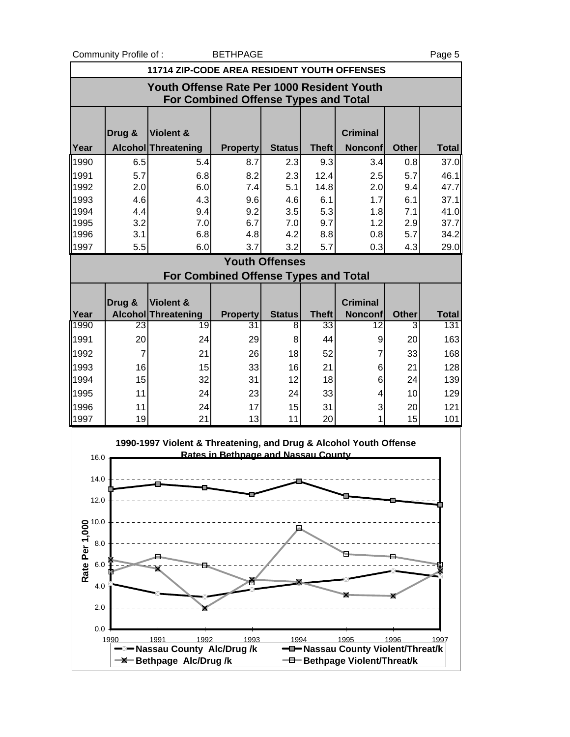Community Profile of : BETHPAGE Page 5

|                                            |                | 11714 ZIP-CODE AREA RESIDENT YOUTH OFFENSES                       |                                             |                       |              |                                                                   |              |              |
|--------------------------------------------|----------------|-------------------------------------------------------------------|---------------------------------------------|-----------------------|--------------|-------------------------------------------------------------------|--------------|--------------|
|                                            |                | Youth Offense Rate Per 1000 Resident Youth                        | For Combined Offense Types and Total        |                       |              |                                                                   |              |              |
|                                            | Drug &         | <b>Violent &amp;</b>                                              |                                             |                       |              | <b>Criminal</b>                                                   |              |              |
| Year                                       |                | Alcohol Threatening                                               | <b>Property</b>                             | <b>Status</b>         | <b>Theft</b> | <b>Nonconf</b>                                                    | <b>Other</b> | <b>Total</b> |
| 1990                                       | 6.5            | 5.4                                                               | 8.7                                         | 2.3                   | 9.3          | 3.4                                                               | 0.8          | 37.0         |
| 1991                                       | 5.7            | 6.8                                                               | 8.2                                         | 2.3                   | 12.4         | 2.5                                                               | 5.7          | 46.1         |
| 1992                                       | 2.0            | 6.0                                                               | 7.4                                         | 5.1                   | 14.8         | 2.0                                                               | 9.4          | 47.7         |
| 1993                                       | 4.6            | 4.3                                                               | 9.6                                         | 4.6                   | 6.1          | 1.7                                                               | 6.1          | 37.1         |
| 1994<br>1995                               | 4.4<br>3.2     | 9.4<br>7.0                                                        | 9.2<br>6.7                                  | 3.5<br>7.0            | 5.3<br>9.7   | 1.8<br>1.2                                                        | 7.1<br>2.9   | 41.0<br>37.7 |
| 1996                                       | 3.1            | 6.8                                                               | 4.8                                         | 4.2                   | 8.8          | 0.8                                                               | 5.7          | 34.2         |
| 1997                                       | 5.5            | 6.0                                                               | 3.7                                         | 3.2                   | 5.7          | 0.3                                                               | 4.3          | 29.0         |
|                                            |                |                                                                   |                                             | <b>Youth Offenses</b> |              |                                                                   |              |              |
|                                            |                |                                                                   | <b>For Combined Offense Types and Total</b> |                       |              |                                                                   |              |              |
|                                            |                |                                                                   |                                             |                       |              |                                                                   |              |              |
|                                            | Drug &         | Violent &                                                         |                                             |                       |              | <b>Criminal</b>                                                   |              |              |
| Year                                       |                | <b>Alcohol Threatening</b>                                        | <b>Property</b>                             | <b>Status</b>         | <b>Theft</b> | <b>Nonconf</b>                                                    | <b>Other</b> | <b>Total</b> |
| 1990                                       | 23             | 19                                                                | 31                                          | 8                     | 33           | 12                                                                | 3            | 131          |
| 1991                                       | 20             | 24                                                                | 29                                          | 8                     | 44           | 9                                                                 | 20           | 163          |
| 1992                                       | $\overline{7}$ | 21                                                                | 26                                          | 18                    | 52           | $\overline{7}$                                                    | 33           | 168          |
| 1993<br>1994                               | 16<br>15       | 15<br>32                                                          | 33<br>31                                    | 16<br>12              | 21           | 6<br>6                                                            | 21           | 128          |
| 1995                                       | 11             | 24                                                                | 23                                          | 24                    | 18<br>33     | 4                                                                 | 24<br>10     | 139<br>129   |
| 1996                                       | 11             | 24                                                                | 17                                          | 15                    | 31           | 3                                                                 | 20           | 121          |
| 1997                                       | 19             | 21                                                                | 13                                          | 11                    | 20           | 1                                                                 | 15           | 101          |
| 16.0                                       |                | 1990-1997 Violent & Threatening, and Drug & Alcohol Youth Offense | Rates in Bethnage and Nassau County         |                       |              |                                                                   |              |              |
| 14.0                                       |                |                                                                   |                                             |                       |              |                                                                   |              |              |
| 12.0                                       |                |                                                                   |                                             |                       |              |                                                                   |              |              |
|                                            |                |                                                                   |                                             |                       |              |                                                                   |              |              |
|                                            |                |                                                                   |                                             |                       |              |                                                                   |              |              |
|                                            |                |                                                                   |                                             |                       |              |                                                                   |              |              |
|                                            |                |                                                                   |                                             |                       |              |                                                                   |              |              |
| Rate Per 1,000<br>8.0<br>8.0<br>8.0<br>8.0 |                |                                                                   |                                             |                       |              |                                                                   |              |              |
| 4.0                                        |                |                                                                   |                                             |                       |              |                                                                   |              |              |
| 2.0                                        |                |                                                                   |                                             |                       |              |                                                                   |              |              |
| 0.0                                        |                |                                                                   |                                             |                       |              |                                                                   |              |              |
|                                            | 1990           | 1992<br>1991                                                      | 1993                                        | 1994                  |              | 1995                                                              | 1996         | 1997         |
|                                            |                | -2-Nassau County Alc/Drug/k<br><b>-X</b> Bethpage Alc/Drug/k      |                                             |                       |              | -D-Nassau County Violent/Threat/k<br>-D-Bethpage Violent/Threat/k |              |              |
|                                            |                |                                                                   |                                             |                       |              |                                                                   |              |              |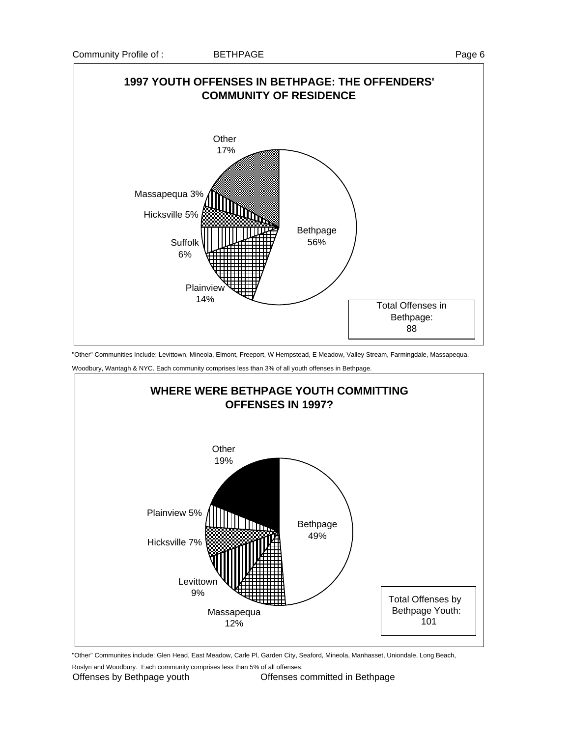

"Other" Communities Include: Levittown, Mineola, Elmont, Freeport, W Hempstead, E Meadow, Valley Stream, Farmingdale, Massapequa,

Woodbury, Wantagh & NYC. Each community comprises less than 3% of all youth offenses in Bethpage.



"Other" Communites include: Glen Head, East Meadow, Carle Pl, Garden City, Seaford, Mineola, Manhasset, Uniondale, Long Beach,

Roslyn and Woodbury. Each community comprises less than 5% of all offenses.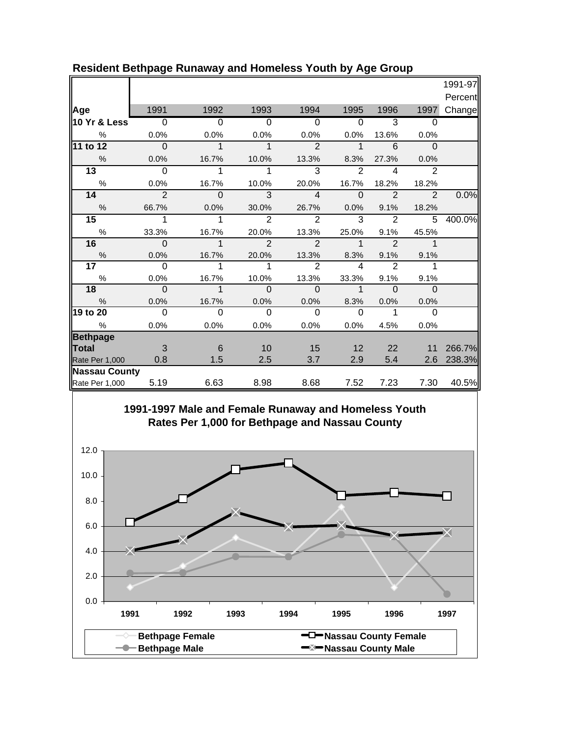|                      |                |                |                |                |                         |                |                | 1991-97 |
|----------------------|----------------|----------------|----------------|----------------|-------------------------|----------------|----------------|---------|
|                      |                |                |                |                |                         |                |                | Percent |
| Age                  | 1991           | 1992           | 1993           | 1994           | 1995                    | 1996           | 1997           | Change  |
| 10 Yr & Less         | $\overline{0}$ | $\overline{0}$ | $\overline{0}$ | $\overline{0}$ | $\overline{0}$          | $\overline{3}$ | $\Omega$       |         |
| %                    | 0.0%           | 0.0%           | 0.0%           | 0.0%           | 0.0%                    | 13.6%          | 0.0%           |         |
| $11$ to $12$         | $\Omega$       | $\mathbf 1$    | $\mathbf{1}$   | $\overline{2}$ | $\mathbf{1}$            | 6              | $\mathbf 0$    |         |
| $\%$                 | 0.0%           | 16.7%          | 10.0%          | 13.3%          | 8.3%                    | 27.3%          | 0.0%           |         |
| 13                   | $\Omega$       | 1              | 1              | 3              | 2                       | 4              | $\overline{2}$ |         |
| %                    | 0.0%           | 16.7%          | 10.0%          | 20.0%          | 16.7%                   | 18.2%          | 18.2%          |         |
| 14                   | $\overline{2}$ | $\overline{0}$ | $\mathbf{3}$   | $\overline{4}$ | $\Omega$                | $\overline{2}$ | $\overline{2}$ | 0.0%    |
| $\%$                 | 66.7%          | 0.0%           | 30.0%          | 26.7%          | $0.0\%$                 | 9.1%           | 18.2%          |         |
| $\overline{15}$      | 1              | 1              | $\overline{2}$ | $\mathfrak{D}$ | 3                       | $\overline{2}$ | 5              | 400.0%  |
| $\%$                 | 33.3%          | 16.7%          | 20.0%          | 13.3%          | 25.0%                   | 9.1%           | 45.5%          |         |
| 16                   | $\Omega$       | $\mathbf{1}$   | $\overline{2}$ | $\overline{2}$ | $\mathbf{1}$            | $\overline{2}$ | $\mathbf 1$    |         |
| $\%$                 | 0.0%           | 16.7%          | 20.0%          | 13.3%          | 8.3%                    | 9.1%           | 9.1%           |         |
| 17 <sub>1</sub>      | $\Omega$       | 1              | 1              | $\mathcal{P}$  | $\overline{\mathbf{A}}$ | $\mathcal{P}$  | 1              |         |
| $\%$                 | 0.0%           | 16.7%          | 10.0%          | 13.3%          | 33.3%                   | 9.1%           | 9.1%           |         |
| 18                   | $\Omega$       | $\mathbf 1$    | $\mathbf 0$    | $\mathbf 0$    | $\mathbf 1$             | $\Omega$       | $\mathbf{0}$   |         |
| $\frac{0}{0}$        | 0.0%           | 16.7%          | 0.0%           | 0.0%           | 8.3%                    | 0.0%           | 0.0%           |         |
| 19 to 20             | $\Omega$       | $\Omega$       | $\Omega$       | $\Omega$       | $\Omega$                | 1              | $\Omega$       |         |
| $\%$                 | 0.0%           | 0.0%           | 0.0%           | 0.0%           | 0.0%                    | 4.5%           | 0.0%           |         |
| <b>Bethpage</b>      |                |                |                |                |                         |                |                |         |
| Total                | $\mathbf{3}$   | 6              | 10             | 15             | 12                      | 22             | 11             | 266.7%  |
| Rate Per 1,000       | 0.8            | 1.5            | 2.5            | 3.7            | 2.9                     | 5.4            | 2.6            | 238.3%  |
| <b>Nassau County</b> |                |                |                |                |                         |                |                |         |
| Rate Per 1,000       | 5.19           | 6.63           | 8.98           | 8.68           | 7.52                    | 7.23           | 7.30           | 40.5%   |

## **Resident Bethpage Runaway and Homeless Youth by Age Group**



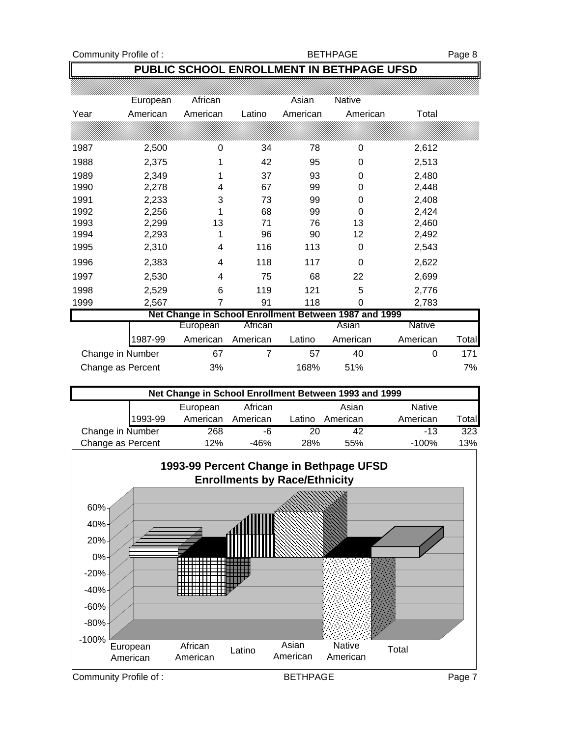Community Profile of : Germany BETHPAGE Rage 8

### **PUBLIC SCHOOL ENROLLMENT IN BETHPAGE UFSD**

|      | European          | African  |                | Asian    | Native                                                |               |       |
|------|-------------------|----------|----------------|----------|-------------------------------------------------------|---------------|-------|
| Year | American          | American | Latino         | American | American                                              | Total         |       |
|      |                   |          |                |          |                                                       |               |       |
| 1987 | 2,500             | 0        | 34             | 78       | 0                                                     | 2,612         |       |
| 1988 | 2,375             | 1        | 42             | 95       | 0                                                     | 2,513         |       |
| 1989 | 2,349             | 1        | 37             | 93       | 0                                                     | 2,480         |       |
| 1990 | 2,278             | 4        | 67             | 99       | 0                                                     | 2,448         |       |
| 1991 | 2,233             | 3        | 73             | 99       | 0                                                     | 2,408         |       |
| 1992 | 2,256             |          | 68             | 99       | 0                                                     | 2,424         |       |
| 1993 | 2,299             | 13       | 71             | 76       | 13                                                    | 2,460         |       |
| 1994 | 2,293             |          | 96             | 90       | 12                                                    | 2,492         |       |
| 1995 | 2,310             | 4        | 116            | 113      | 0                                                     | 2,543         |       |
| 1996 | 2,383             | 4        | 118            | 117      | 0                                                     | 2,622         |       |
| 1997 | 2,530             | 4        | 75             | 68       | 22                                                    | 2,699         |       |
| 1998 | 2,529             | 6        | 119            | 121      | 5                                                     | 2,776         |       |
| 1999 | 2,567             | 7        | 91             | 118      | 0                                                     | 2,783         |       |
|      |                   |          |                |          | Net Change in School Enrollment Between 1987 and 1999 |               |       |
|      |                   | European | African        |          | Asian                                                 | <b>Native</b> |       |
|      | 1987-99           | American | American       | Latino   | American                                              | American      | Total |
|      | Change in Number  | 67       | $\overline{7}$ | 57       | 40                                                    | $\Omega$      | 171   |
|      | Change as Percent | 3%       |                | 168%     | 51%                                                   |               | 7%    |

| Net Change in School Enrollment Between 1993 and 1999 |         |          |          |        |          |               |              |  |
|-------------------------------------------------------|---------|----------|----------|--------|----------|---------------|--------------|--|
|                                                       |         | European | African  |        | Asian    | <b>Native</b> |              |  |
|                                                       | 1993-99 | American | American | Latino | American | American      | <b>Total</b> |  |
| Change in Number                                      |         | 268      | -6       | 20     | 42       | $-13$         | 323          |  |
| Change as Percent                                     |         | 12%      | -46%     | 28%    | 55%      | $-100%$       | 13%          |  |

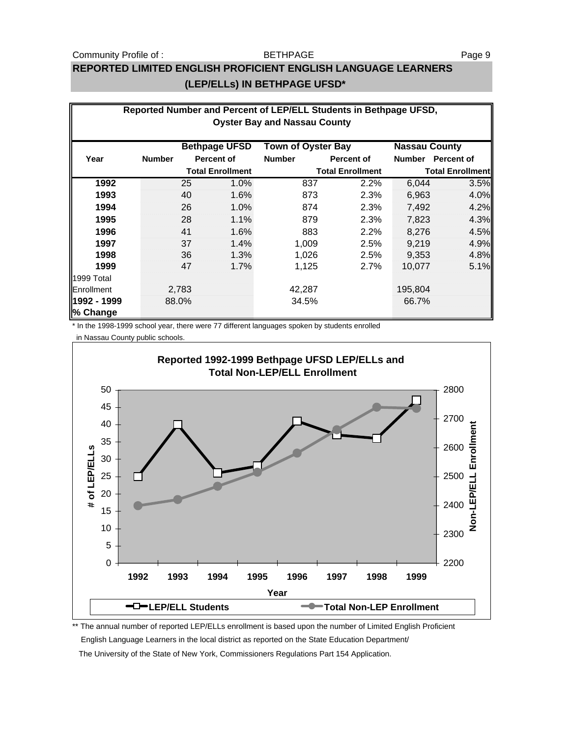#### Community Profile of : The SETHPAGE Page 9

#### BETHPAGE

## **REPORTED LIMITED ENGLISH PROFICIENT ENGLISH LANGUAGE LEARNERS (LEP/ELLs) IN BETHPAGE UFSD\***

| Reported Number and Percent of LEP/ELL Students in Bethpage UFSD,<br><b>Oyster Bay and Nassau County</b> |               |                         |                      |                           |            |                         |                   |
|----------------------------------------------------------------------------------------------------------|---------------|-------------------------|----------------------|---------------------------|------------|-------------------------|-------------------|
|                                                                                                          |               |                         | <b>Bethpage UFSD</b> | <b>Town of Oyster Bay</b> |            | <b>Nassau County</b>    |                   |
| Year                                                                                                     | <b>Number</b> |                         | <b>Percent of</b>    | <b>Number</b>             | Percent of | Number                  | <b>Percent of</b> |
|                                                                                                          |               | <b>Total Enrollment</b> |                      | <b>Total Enrollment</b>   |            | <b>Total Enrollment</b> |                   |
| 1992                                                                                                     |               | 25                      | 1.0%                 | 837                       | 2.2%       | 6,044                   | 3.5%              |
| 1993                                                                                                     |               | 40                      | 1.6%                 | 873                       | 2.3%       | 6,963                   | 4.0%              |
| 1994                                                                                                     |               | 26                      | 1.0%                 | 874                       | 2.3%       | 7,492                   | 4.2%              |
| 1995                                                                                                     |               | 28                      | 1.1%                 | 879                       | 2.3%       | 7,823                   | 4.3%              |
| 1996                                                                                                     |               | 41                      | 1.6%                 | 883                       | $2.2\%$    | 8,276                   | 4.5%              |
| 1997                                                                                                     |               | 37                      | 1.4%                 | 1,009                     | 2.5%       | 9,219                   | 4.9%              |
| 1998                                                                                                     |               | 36                      | 1.3%                 | 1,026                     | 2.5%       | 9,353                   | 4.8%              |
| 1999                                                                                                     |               | 47                      | 1.7%                 | 1,125                     | 2.7%       | 10,077                  | 5.1%              |
| 1999 Total                                                                                               |               |                         |                      |                           |            |                         |                   |
| Enrollment                                                                                               |               | 2,783                   |                      | 42,287                    |            | 195,804                 |                   |
| 1992 - 1999<br>% Change                                                                                  |               | 88.0%                   |                      | 34.5%                     |            | 66.7%                   |                   |

\* In the 1998-1999 school year, there were 77 different languages spoken by students enrolled in Nassau County public schools.



\*\* The annual number of reported LEP/ELLs enrollment is based upon the number of Limited English Proficient English Language Learners in the local district as reported on the State Education Department/

The University of the State of New York, Commissioners Regulations Part 154 Application.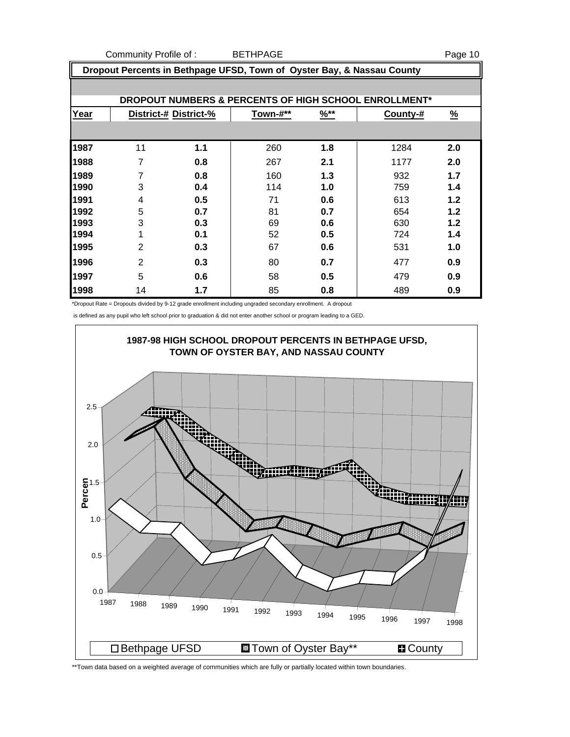Community Profile of : BETHPAGE **Page 10** 

| Dropout Percents in Bethpage UFSD, Town of Oyster Bay, & Nassau County |                       |     |          |                  |          |               |  |
|------------------------------------------------------------------------|-----------------------|-----|----------|------------------|----------|---------------|--|
|                                                                        |                       |     |          |                  |          |               |  |
| DROPOUT NUMBERS & PERCENTS OF HIGH SCHOOL ENROLLMENT*                  |                       |     |          |                  |          |               |  |
| Year                                                                   | District-# District-% |     | Town-#** | $\frac{96**}{8}$ | County-# | $\frac{9}{6}$ |  |
|                                                                        |                       |     |          |                  |          |               |  |
| 1987                                                                   | 11                    | 1.1 | 260      | 1.8              | 1284     | 2.0           |  |
| 1988                                                                   | 7                     | 0.8 | 267      | 2.1              | 1177     | 2.0           |  |
| 1989                                                                   | 7                     | 0.8 | 160      | 1.3              | 932      | 1.7           |  |
| 1990                                                                   | 3                     | 0.4 | 114      | 1.0              | 759      | 1.4           |  |
| 1991                                                                   | 4                     | 0.5 | 71       | 0.6              | 613      | 1.2           |  |
| 1992                                                                   | 5                     | 0.7 | 81       | 0.7              | 654      | 1.2           |  |
| 1993                                                                   | 3                     | 0.3 | 69       | 0.6              | 630      | 1.2           |  |
| 1994                                                                   | 1                     | 0.1 | 52       | 0.5              | 724      | 1.4           |  |
| 1995                                                                   | $\overline{2}$        | 0.3 | 67       | 0.6              | 531      | 1.0           |  |
| 1996                                                                   | $\overline{2}$        | 0.3 | 80       | 0.7              | 477      | 0.9           |  |
| 1997                                                                   | 5                     | 0.6 | 58       | 0.5              | 479      | 0.9           |  |
| 1998                                                                   | 14                    | 1.7 | 85       | 0.8              | 489      | 0.9           |  |

\*Dropout Rate = Dropouts divided by 9-12 grade enrollment including ungraded secondary enrollment. A dropout

is defined as any pupil who left school prior to graduation & did not enter another school or program leading to a GED.



\*\*Town data based on a weighted average of communities which are fully or partially located within town boundaries.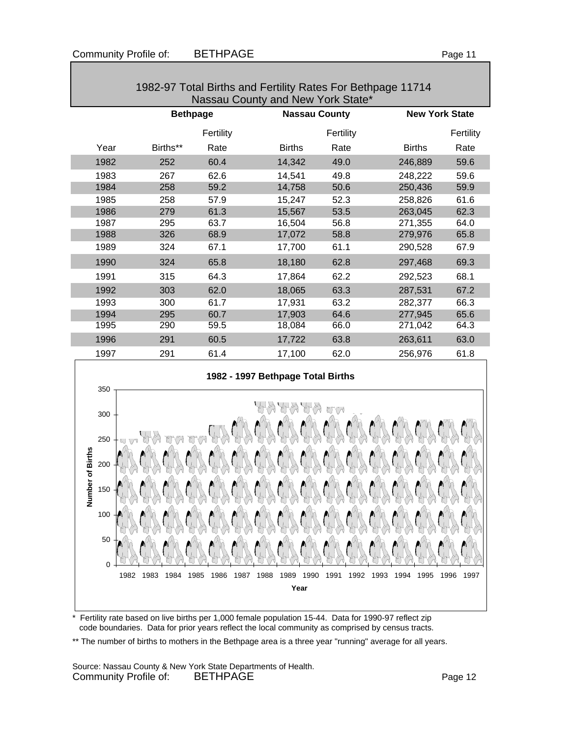| Nassau County and New York State* |          |                 |               |                      |               |                       |  |  |
|-----------------------------------|----------|-----------------|---------------|----------------------|---------------|-----------------------|--|--|
|                                   |          | <b>Bethpage</b> |               | <b>Nassau County</b> |               | <b>New York State</b> |  |  |
|                                   |          | Fertility       |               | Fertility            |               | Fertility             |  |  |
| Year                              | Births** | Rate            | <b>Births</b> | Rate                 | <b>Births</b> | Rate                  |  |  |
| 1982                              | 252      | 60.4            | 14,342        | 49.0                 | 246,889       | 59.6                  |  |  |
| 1983                              | 267      | 62.6            | 14,541        | 49.8                 | 248,222       | 59.6                  |  |  |
| 1984                              | 258      | 59.2            | 14,758        | 50.6                 | 250,436       | 59.9                  |  |  |
| 1985                              | 258      | 57.9            | 15,247        | 52.3                 | 258,826       | 61.6                  |  |  |
| 1986                              | 279      | 61.3            | 15,567        | 53.5                 | 263,045       | 62.3                  |  |  |
| 1987                              | 295      | 63.7            | 16,504        | 56.8                 | 271,355       | 64.0                  |  |  |
| 1988                              | 326      | 68.9            | 17,072        | 58.8                 | 279,976       | 65.8                  |  |  |
| 1989                              | 324      | 67.1            | 17,700        | 61.1                 | 290,528       | 67.9                  |  |  |
| 1990                              | 324      | 65.8            | 18,180        | 62.8                 | 297,468       | 69.3                  |  |  |
| 1991                              | 315      | 64.3            | 17,864        | 62.2                 | 292,523       | 68.1                  |  |  |
| 1992                              | 303      | 62.0            | 18,065        | 63.3                 | 287,531       | 67.2                  |  |  |
| 1993                              | 300      | 61.7            | 17,931        | 63.2                 | 282,377       | 66.3                  |  |  |
| 1994                              | 295      | 60.7            | 17,903        | 64.6                 | 277,945       | 65.6                  |  |  |
| 1995                              | 290      | 59.5            | 18,084        | 66.0                 | 271,042       | 64.3                  |  |  |
| 1996                              | 291      | 60.5            | 17,722        | 63.8                 | 263,611       | 63.0                  |  |  |
| 1997                              | 291      | 61.4            | 17,100        | 62.0                 | 256,976       | 61.8                  |  |  |

# 1982-97 Total Births and Fertility Rates For Bethpage 11714





\* Fertility rate based on live births per 1,000 female population 15-44. Data for 1990-97 reflect zip code boundaries. Data for prior years reflect the local community as comprised by census tracts.

\*\* The number of births to mothers in the Bethpage area is a three year "running" average for all years.

Source: Nassau County & New York State Departments of Health. Community Profile of: BETHPAGE **Page 12**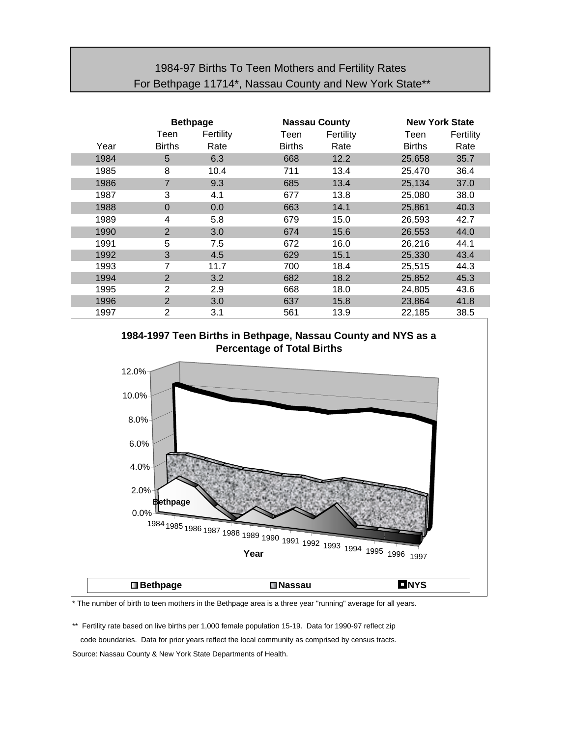## 1984-97 Births To Teen Mothers and Fertility Rates For Bethpage 11714\*, Nassau County and New York State\*\*

|      | <b>Bethpage</b> |           | <b>Nassau County</b> |           | <b>New York State</b> |           |  |
|------|-----------------|-----------|----------------------|-----------|-----------------------|-----------|--|
|      | Teen            | Fertility | Teen                 | Fertility | Teen                  | Fertility |  |
| Year | <b>Births</b>   | Rate      | <b>Births</b>        | Rate      | <b>Births</b>         | Rate      |  |
| 1984 | 5               | 6.3       | 668                  | 12.2      | 25,658                | 35.7      |  |
| 1985 | 8               | 10.4      | 711                  | 13.4      | 25,470                | 36.4      |  |
| 1986 | 7               | 9.3       | 685                  | 13.4      | 25,134                | 37.0      |  |
| 1987 | 3               | 4.1       | 677                  | 13.8      | 25,080                | 38.0      |  |
| 1988 | $\Omega$        | 0.0       | 663                  | 14.1      | 25,861                | 40.3      |  |
| 1989 | 4               | 5.8       | 679                  | 15.0      | 26,593                | 42.7      |  |
| 1990 | $\overline{2}$  | 3.0       | 674                  | 15.6      | 26,553                | 44.0      |  |
| 1991 | 5               | 7.5       | 672                  | 16.0      | 26,216                | 44.1      |  |
| 1992 | 3               | 4.5       | 629                  | 15.1      | 25,330                | 43.4      |  |
| 1993 | 7               | 11.7      | 700                  | 18.4      | 25,515                | 44.3      |  |
| 1994 | $\overline{2}$  | 3.2       | 682                  | 18.2      | 25,852                | 45.3      |  |
| 1995 | 2               | 2.9       | 668                  | 18.0      | 24,805                | 43.6      |  |
| 1996 | $\overline{2}$  | 3.0       | 637                  | 15.8      | 23,864                | 41.8      |  |
| 1997 | 2               | 3.1       | 561                  | 13.9      | 22,185                | 38.5      |  |



\* The number of birth to teen mothers in the Bethpage area is a three year "running" average for all years.

\*\* Fertility rate based on live births per 1,000 female population 15-19. Data for 1990-97 reflect zip code boundaries. Data for prior years reflect the local community as comprised by census tracts. Source: Nassau County & New York State Departments of Health.